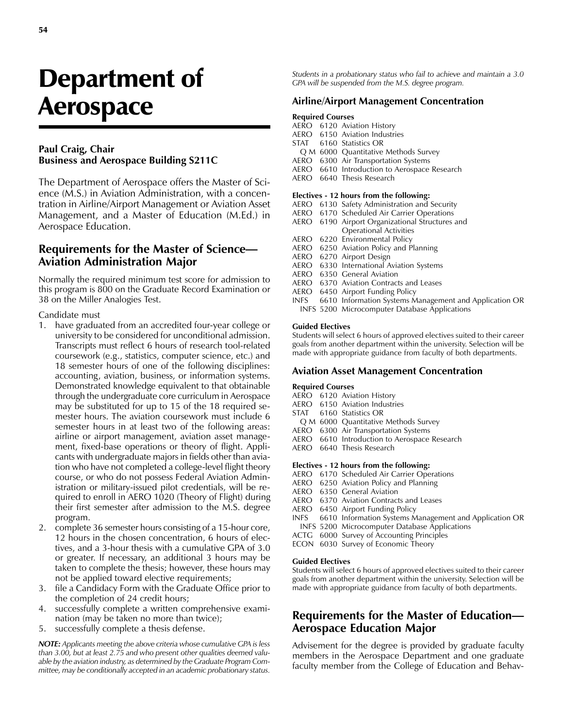# Department of Aerospace

### **Paul Craig, Chair Business and Aerospace Building S211C**

The Department of Aerospace offers the Master of Science (M.S.) in Aviation Administration, with a concentration in Airline/Airport Management or Aviation Asset Management, and a Master of Education (M.Ed.) in Aerospace Education.

# **Requirements for the Master of Science— Aviation Administration Major**

Normally the required minimum test score for admission to this program is 800 on the Graduate Record Examination or 38 on the Miller Analogies Test.

### Candidate must

- 1. have graduated from an accredited four-year college or university to be considered for unconditional admission. Transcripts must reflect 6 hours of research tool-related coursework (e.g., statistics, computer science, etc.) and 18 semester hours of one of the following disciplines: accounting, aviation, business, or information systems. Demonstrated knowledge equivalent to that obtainable through the undergraduate core curriculum in Aerospace may be substituted for up to 15 of the 18 required semester hours. The aviation coursework must include 6 semester hours in at least two of the following areas: airline or airport management, aviation asset management, fixed-base operations or theory of flight. Applicants with undergraduate majors in fields other than aviation who have not completed a college-level flight theory course, or who do not possess Federal Aviation Administration or military-issued pilot credentials, will be required to enroll in AERO 1020 (Theory of Flight) during their first semester after admission to the M.S. degree program.
- 2. complete 36 semester hours consisting of a 15-hour core, 12 hours in the chosen concentration, 6 hours of electives, and a 3-hour thesis with a cumulative GPA of 3.0 or greater. If necessary, an additional 3 hours may be taken to complete the thesis; however, these hours may not be applied toward elective requirements;
- 3. file a Candidacy Form with the Graduate Office prior to the completion of 24 credit hours;
- 4. successfully complete a written comprehensive examination (may be taken no more than twice);
- 5. successfully complete a thesis defense.

*NOTE: Applicants meeting the above criteria whose cumulative GPA is less than 3.00, but at least 2.75 and who present other qualities deemed valuable by the aviation industry, as determined by the Graduate Program Committee, may be conditionally accepted in an academic probationary status.*

*Students in a probationary status who fail to achieve and maintain a 3.0 GPA will be suspended from the M.S. degree program.*

## **Airline/Airport Management Concentration**

### **Required Courses**

- AERO 6120 Aviation History
- AERO 6150 Aviation Industries
- STAT 6160 Statistics OR
	- Q M 6000 Quantitative Methods Survey
- AERO 6300 Air Transportation Systems
- AERO 6610 Introduction to Aerospace Research AERO 6640 Thesis Research

### **Electives - 12 hours from the following:**

- AERO 6130 Safety Administration and Security
- AERO 6170 Scheduled Air Carrier Operations
- AERO 6190 Airport Organizational Structures and Operational Activities
- AERO 6220 Environmental Policy
- 6250 Aviation Policy and Planning
- AERO 6270 Airport Design
- AERO 6330 International Aviation Systems
- AERO 6350 General Aviation
- AERO 6370 Aviation Contracts and Leases
- AERO 6450 Airport Funding Policy
- INFS 6610 Information Systems Management and Application OR INFS 5200 Microcomputer Database Applications

### **Guided Electives**

Students will select 6 hours of approved electives suited to their career goals from another department within the university. Selection will be made with appropriate guidance from faculty of both departments.

### **Aviation Asset Management Concentration**

### **Required Courses**

- AERO 6120 Aviation History
- AERO 6150 Aviation Industries
- STAT 6160 Statistics OR
- Q M 6000 Quantitative Methods Survey
- AERO 6300 Air Transportation Systems
- AERO 6610 Introduction to Aerospace Research
- AERO 6640 Thesis Research

### **Electives - 12 hours from the following:**

- AERO 6170 Scheduled Air Carrier Operations
- AERO 6250 Aviation Policy and Planning
- AERO 6350 General Aviation
- AERO 6370 Aviation Contracts and Leases
- AERO 6450 Airport Funding Policy
- INFS 6610 Information Systems Management and Application OR
- INFS 5200 Microcomputer Database Applications ACTG 6000 Survey of Accounting Principles
- ECON 6030 Survey of Economic Theory

### **Guided Electives**

Students will select 6 hours of approved electives suited to their career goals from another department within the university. Selection will be made with appropriate guidance from faculty of both departments.

# **Requirements for the Master of Education— Aerospace Education Major**

Advisement for the degree is provided by graduate faculty members in the Aerospace Department and one graduate faculty member from the College of Education and Behav-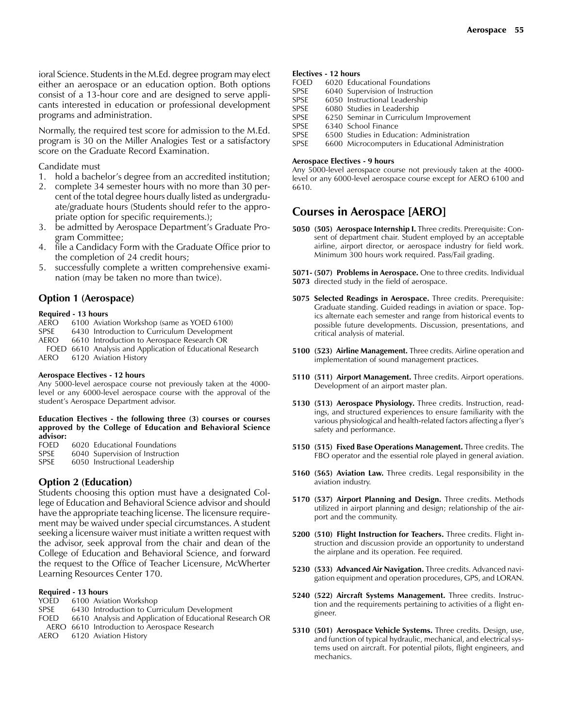ioral Science. Students in the M.Ed. degree program may elect either an aerospace or an education option. Both options consist of a 13-hour core and are designed to serve applicants interested in education or professional development programs and administration.

Normally, the required test score for admission to the M.Ed. program is 30 on the Miller Analogies Test or a satisfactory score on the Graduate Record Examination.

### Candidate must

- 1. hold a bachelor's degree from an accredited institution;
- 2. complete 34 semester hours with no more than 30 percent of the total degree hours dually listed as undergraduate/graduate hours (Students should refer to the appropriate option for specific requirements.);
- 3. be admitted by Aerospace Department's Graduate Program Committee;
- 4. file a Candidacy Form with the Graduate Office prior to the completion of 24 credit hours;
- 5. successfully complete a written comprehensive examination (may be taken no more than twice).

### **Option 1 (Aerospace)**

### **Required - 13 hours**

- AERO 6100 Aviation Workshop (same as YOED 6100)
- SPSE 6430 Introduction to Curriculum Development
- AERO 6610 Introduction to Aerospace Research OR
- FOED 6610 Analysis and Application of Educational Research AERO 6120 Aviation History

### **Aerospace Electives - 12 hours**

Any 5000-level aerospace course not previously taken at the 4000 level or any 6000-level aerospace course with the approval of the student's Aerospace Department advisor.

### **Education Electives - the following three (3) courses or courses approved by the College of Education and Behavioral Science advisor:**

| <b>FOED</b> | -6020 Educational Foundations |  |
|-------------|-------------------------------|--|
|             |                               |  |

- SPSE 6040 Supervision of Instruction<br>SPSE 6050 Instructional Leadership
- 6050 Instructional Leadership

### **Option 2 (Education)**

Students choosing this option must have a designated College of Education and Behavioral Science advisor and should have the appropriate teaching license. The licensure requirement may be waived under special circumstances. A student seeking a licensure waiver must initiate a written request with the advisor, seek approval from the chair and dean of the College of Education and Behavioral Science, and forward the request to the Office of Teacher Licensure, McWherter Learning Resources Center 170.

### **Required - 13 hours**

- YOED 6100 Aviation Workshop
- SPSE 6430 Introduction to Curriculum Development
- FOED 6610 Analysis and Application of Educational Research OR
- AERO 6610 Introduction to Aerospace Research

AERO 6120 Aviation History

### **Electives - 12 hours**

| 6020 Educational Foundations                      |
|---------------------------------------------------|
| 6040 Supervision of Instruction                   |
| 6050 Instructional Leadership                     |
| 6080 Studies in Leadership                        |
| 6250 Seminar in Curriculum Improvement            |
| 6340 School Finance                               |
| 6500 Studies in Education: Administration         |
| 6600 Microcomputers in Educational Administration |
|                                                   |

### **Aerospace Electives - 9 hours**

Any 5000-level aerospace course not previously taken at the 4000 level or any 6000-level aerospace course except for AERO 6100 and 6610.

# **Courses in Aerospace [AERO]**

**5050 (505) Aerospace Internship I.** Three credits. Prerequisite: Consent of department chair. Student employed by an acceptable airline, airport director, or aerospace industry for field work. Minimum 300 hours work required. Pass/Fail grading.

**5071- (507) Problems in Aerospace.** One to three credits. Individual **5073** directed study in the field of aerospace.

- **5075 Selected Readings in Aerospace.** Three credits. Prerequisite: Graduate standing. Guided readings in aviation or space. Topics alternate each semester and range from historical events to possible future developments. Discussion, presentations, and critical analysis of material.
- **5100 (523) Airline Management.** Three credits. Airline operation and implementation of sound management practices.
- **5110 (511) Airport Management.** Three credits. Airport operations. Development of an airport master plan.
- **5130 (513) Aerospace Physiology.** Three credits. Instruction, readings, and structured experiences to ensure familiarity with the various physiological and health-related factors affecting a flyer's safety and performance.
- **5150 (515) Fixed Base Operations Management.** Three credits. The FBO operator and the essential role played in general aviation.
- **5160 (565) Aviation Law.** Three credits. Legal responsibility in the aviation industry.
- **5170 (537) Airport Planning and Design.** Three credits. Methods utilized in airport planning and design; relationship of the airport and the community.
- **5200 (510) Flight Instruction for Teachers.** Three credits. Flight instruction and discussion provide an opportunity to understand the airplane and its operation. Fee required.
- **5230 (533) Advanced Air Navigation.** Three credits. Advanced navigation equipment and operation procedures, GPS, and LORAN.
- **5240 (522) Aircraft Systems Management.** Three credits. Instruction and the requirements pertaining to activities of a flight engineer.
- **5310 (501) Aerospace Vehicle Systems.** Three credits. Design, use, and function of typical hydraulic, mechanical, and electrical systems used on aircraft. For potential pilots, flight engineers, and mechanics.